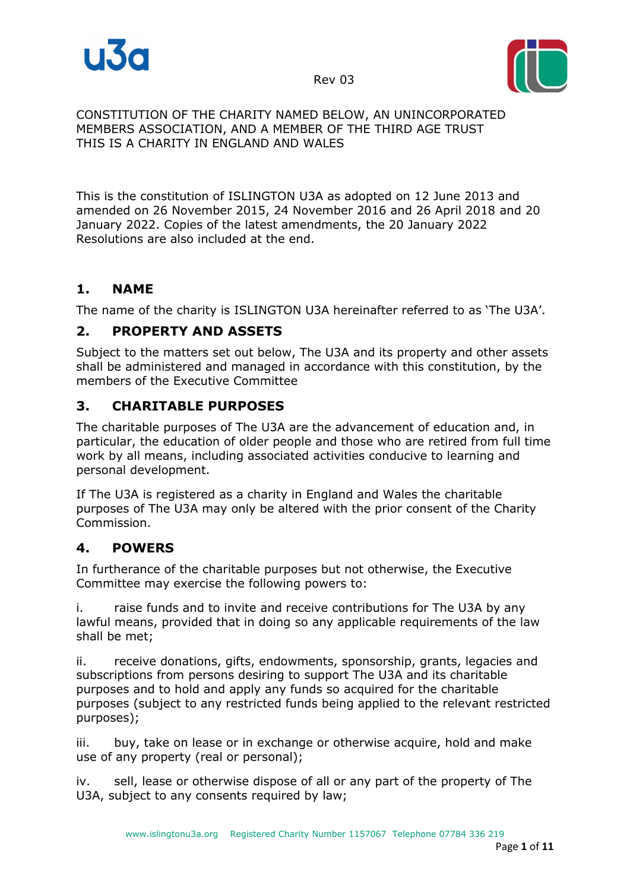

Rev 03



#### CONSTITUTION OF THE CHARITY NAMED BELOW, AN UNINCORPORATED MEMBERS ASSOCIATION, AND A MEMBER OF THE THIRD AGE TRUST THIS IS A CHARITY IN ENGLAND AND WALES

This is the constitution of ISLINGTON U3A as adopted on 12 June 2013 and amended on 26 November 2015, 24 November 2016 and 26 April 2018 and 20 January 2022. Copies of the latest amendments, the 20 January 2022 Resolutions are also included at the end.

## **1. NAME**

The name of the charity is ISLINGTON U3A hereinafter referred to as 'The U3A'.

## **2. PROPERTY AND ASSETS**

Subject to the matters set out below, The U3A and its property and other assets shall be administered and managed in accordance with this constitution, by the members of the Executive Committee

## **3. CHARITABLE PURPOSES**

The charitable purposes of The U3A are the advancement of education and, in particular, the education of older people and those who are retired from full time work by all means, including associated activities conducive to learning and personal development.

If The U3A is registered as a charity in England and Wales the charitable purposes of The U3A may only be altered with the prior consent of the Charity Commission.

## **4. POWERS**

In furtherance of the charitable purposes but not otherwise, the Executive Committee may exercise the following powers to:

i. raise funds and to invite and receive contributions for The U3A by any lawful means, provided that in doing so any applicable requirements of the law shall be met;

ii. receive donations, gifts, endowments, sponsorship, grants, legacies and subscriptions from persons desiring to support The U3A and its charitable purposes and to hold and apply any funds so acquired for the charitable purposes (subject to any restricted funds being applied to the relevant restricted purposes);

iii. buy, take on lease or in exchange or otherwise acquire, hold and make use of any property (real or personal);

iv. sell, lease or otherwise dispose of all or any part of the property of The U3A, subject to any consents required by law;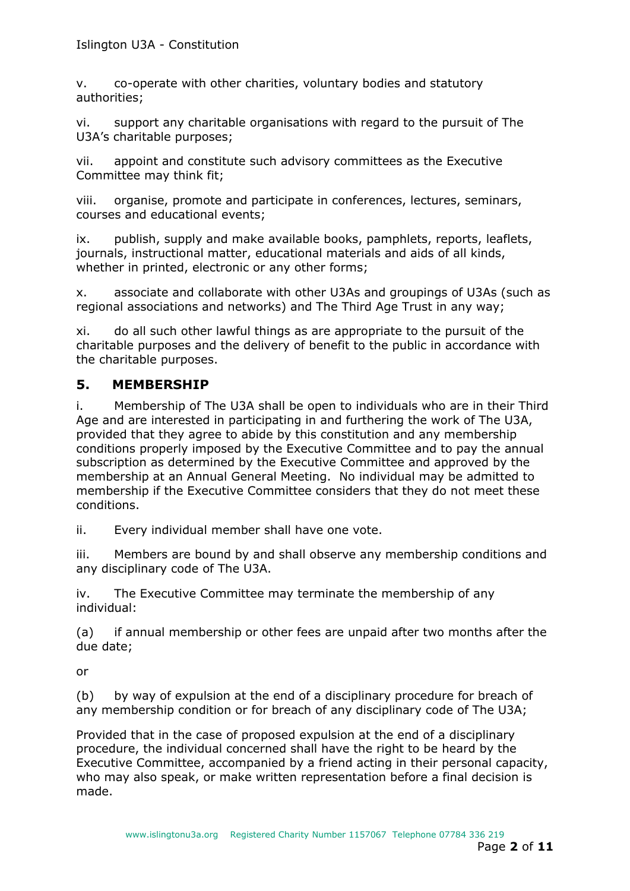v. co-operate with other charities, voluntary bodies and statutory authorities;

vi. support any charitable organisations with regard to the pursuit of The U3A's charitable purposes;

vii. appoint and constitute such advisory committees as the Executive Committee may think fit;

viii. organise, promote and participate in conferences, lectures, seminars, courses and educational events;

ix. publish, supply and make available books, pamphlets, reports, leaflets, journals, instructional matter, educational materials and aids of all kinds, whether in printed, electronic or any other forms;

x. associate and collaborate with other U3As and groupings of U3As (such as regional associations and networks) and The Third Age Trust in any way;

xi. do all such other lawful things as are appropriate to the pursuit of the charitable purposes and the delivery of benefit to the public in accordance with the charitable purposes.

#### **5. MEMBERSHIP**

i. Membership of The U3A shall be open to individuals who are in their Third Age and are interested in participating in and furthering the work of The U3A, provided that they agree to abide by this constitution and any membership conditions properly imposed by the Executive Committee and to pay the annual subscription as determined by the Executive Committee and approved by the membership at an Annual General Meeting. No individual may be admitted to membership if the Executive Committee considers that they do not meet these conditions.

ii. Every individual member shall have one vote.

iii. Members are bound by and shall observe any membership conditions and any disciplinary code of The U3A.

iv. The Executive Committee may terminate the membership of any individual:

(a) if annual membership or other fees are unpaid after two months after the due date;

or

(b) by way of expulsion at the end of a disciplinary procedure for breach of any membership condition or for breach of any disciplinary code of The U3A;

Provided that in the case of proposed expulsion at the end of a disciplinary procedure, the individual concerned shall have the right to be heard by the Executive Committee, accompanied by a friend acting in their personal capacity, who may also speak, or make written representation before a final decision is made.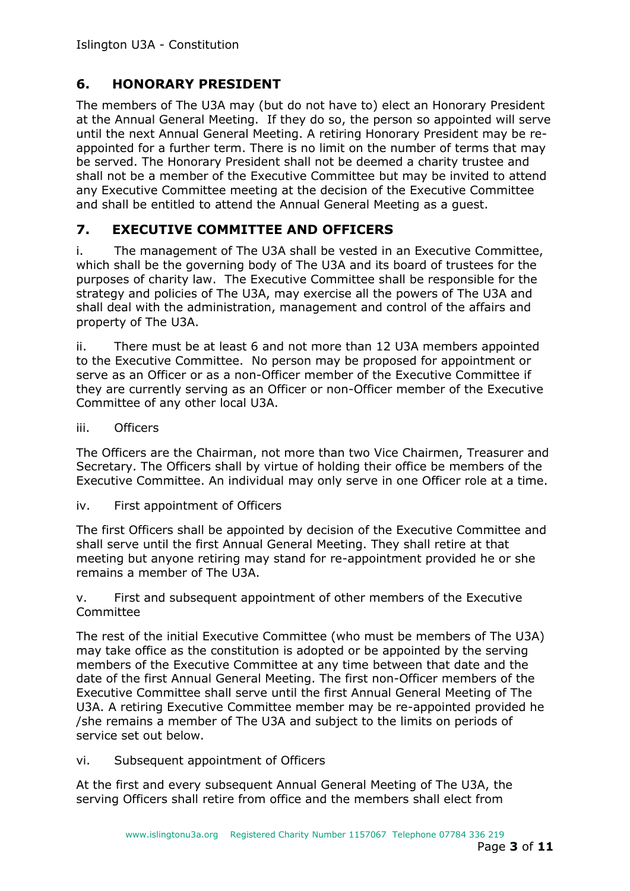## **6. HONORARY PRESIDENT**

The members of The U3A may (but do not have to) elect an Honorary President at the Annual General Meeting. If they do so, the person so appointed will serve until the next Annual General Meeting. A retiring Honorary President may be reappointed for a further term. There is no limit on the number of terms that may be served. The Honorary President shall not be deemed a charity trustee and shall not be a member of the Executive Committee but may be invited to attend any Executive Committee meeting at the decision of the Executive Committee and shall be entitled to attend the Annual General Meeting as a guest.

## **7. EXECUTIVE COMMITTEE AND OFFICERS**

i. The management of The U3A shall be vested in an Executive Committee, which shall be the governing body of The U3A and its board of trustees for the purposes of charity law. The Executive Committee shall be responsible for the strategy and policies of The U3A, may exercise all the powers of The U3A and shall deal with the administration, management and control of the affairs and property of The U3A.

ii. There must be at least 6 and not more than 12 U3A members appointed to the Executive Committee. No person may be proposed for appointment or serve as an Officer or as a non-Officer member of the Executive Committee if they are currently serving as an Officer or non-Officer member of the Executive Committee of any other local U3A.

iii. Officers

The Officers are the Chairman, not more than two Vice Chairmen, Treasurer and Secretary. The Officers shall by virtue of holding their office be members of the Executive Committee. An individual may only serve in one Officer role at a time.

iv. First appointment of Officers

The first Officers shall be appointed by decision of the Executive Committee and shall serve until the first Annual General Meeting. They shall retire at that meeting but anyone retiring may stand for re-appointment provided he or she remains a member of The U3A.

v. First and subsequent appointment of other members of the Executive Committee

The rest of the initial Executive Committee (who must be members of The U3A) may take office as the constitution is adopted or be appointed by the serving members of the Executive Committee at any time between that date and the date of the first Annual General Meeting. The first non-Officer members of the Executive Committee shall serve until the first Annual General Meeting of The U3A. A retiring Executive Committee member may be re-appointed provided he /she remains a member of The U3A and subject to the limits on periods of service set out below.

vi. Subsequent appointment of Officers

At the first and every subsequent Annual General Meeting of The U3A, the serving Officers shall retire from office and the members shall elect from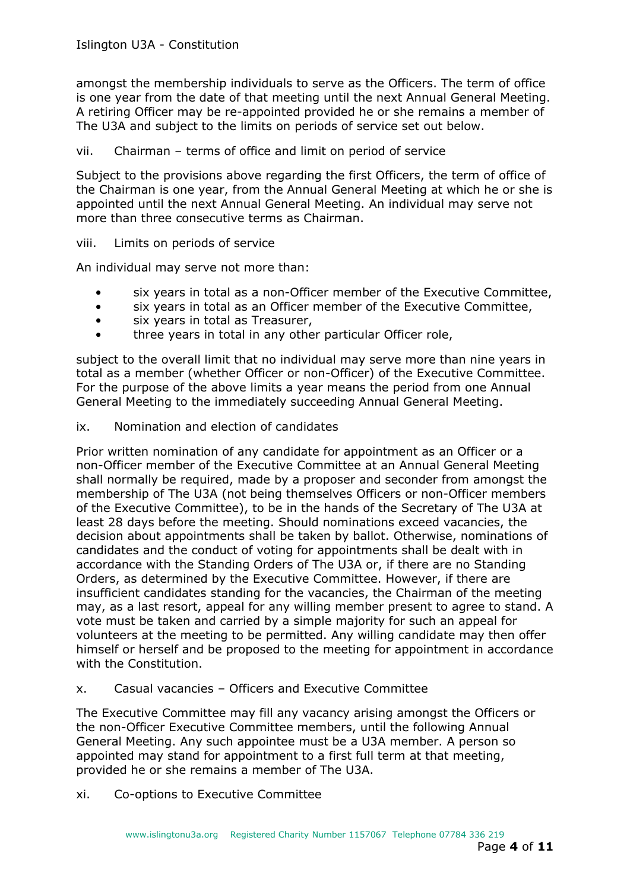amongst the membership individuals to serve as the Officers. The term of office is one year from the date of that meeting until the next Annual General Meeting. A retiring Officer may be re-appointed provided he or she remains a member of The U3A and subject to the limits on periods of service set out below.

#### vii. Chairman – terms of office and limit on period of service

Subject to the provisions above regarding the first Officers, the term of office of the Chairman is one year, from the Annual General Meeting at which he or she is appointed until the next Annual General Meeting. An individual may serve not more than three consecutive terms as Chairman.

viii. Limits on periods of service

An individual may serve not more than:

- six years in total as a non-Officer member of the Executive Committee,
- six years in total as an Officer member of the Executive Committee,
- six years in total as Treasurer,
- three years in total in any other particular Officer role,

subject to the overall limit that no individual may serve more than nine years in total as a member (whether Officer or non-Officer) of the Executive Committee. For the purpose of the above limits a year means the period from one Annual General Meeting to the immediately succeeding Annual General Meeting.

#### ix. Nomination and election of candidates

Prior written nomination of any candidate for appointment as an Officer or a non-Officer member of the Executive Committee at an Annual General Meeting shall normally be required, made by a proposer and seconder from amongst the membership of The U3A (not being themselves Officers or non-Officer members of the Executive Committee), to be in the hands of the Secretary of The U3A at least 28 days before the meeting. Should nominations exceed vacancies, the decision about appointments shall be taken by ballot. Otherwise, nominations of candidates and the conduct of voting for appointments shall be dealt with in accordance with the Standing Orders of The U3A or, if there are no Standing Orders, as determined by the Executive Committee. However, if there are insufficient candidates standing for the vacancies, the Chairman of the meeting may, as a last resort, appeal for any willing member present to agree to stand. A vote must be taken and carried by a simple majority for such an appeal for volunteers at the meeting to be permitted. Any willing candidate may then offer himself or herself and be proposed to the meeting for appointment in accordance with the Constitution.

x. Casual vacancies – Officers and Executive Committee

The Executive Committee may fill any vacancy arising amongst the Officers or the non-Officer Executive Committee members, until the following Annual General Meeting. Any such appointee must be a U3A member. A person so appointed may stand for appointment to a first full term at that meeting, provided he or she remains a member of The U3A.

xi. Co-options to Executive Committee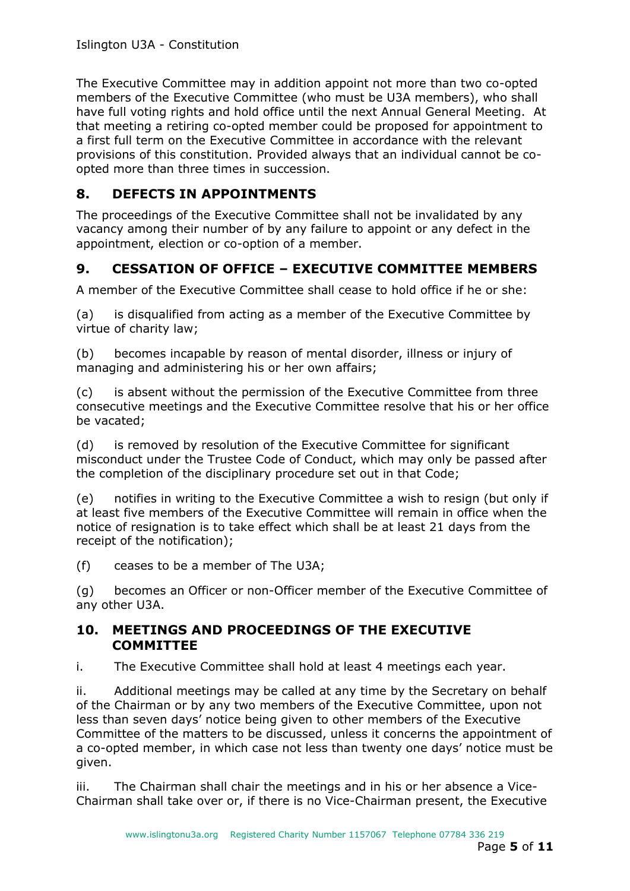The Executive Committee may in addition appoint not more than two co-opted members of the Executive Committee (who must be U3A members), who shall have full voting rights and hold office until the next Annual General Meeting. At that meeting a retiring co-opted member could be proposed for appointment to a first full term on the Executive Committee in accordance with the relevant provisions of this constitution. Provided always that an individual cannot be coopted more than three times in succession.

# **8. DEFECTS IN APPOINTMENTS**

The proceedings of the Executive Committee shall not be invalidated by any vacancy among their number of by any failure to appoint or any defect in the appointment, election or co-option of a member.

# **9. CESSATION OF OFFICE – EXECUTIVE COMMITTEE MEMBERS**

A member of the Executive Committee shall cease to hold office if he or she:

(a) is disqualified from acting as a member of the Executive Committee by virtue of charity law;

(b) becomes incapable by reason of mental disorder, illness or injury of managing and administering his or her own affairs;

(c) is absent without the permission of the Executive Committee from three consecutive meetings and the Executive Committee resolve that his or her office be vacated;

(d) is removed by resolution of the Executive Committee for significant misconduct under the Trustee Code of Conduct, which may only be passed after the completion of the disciplinary procedure set out in that Code;

(e) notifies in writing to the Executive Committee a wish to resign (but only if at least five members of the Executive Committee will remain in office when the notice of resignation is to take effect which shall be at least 21 days from the receipt of the notification);

(f) ceases to be a member of The U3A;

(g) becomes an Officer or non-Officer member of the Executive Committee of any other U3A.

#### **10. MEETINGS AND PROCEEDINGS OF THE EXECUTIVE COMMITTEE**

i. The Executive Committee shall hold at least 4 meetings each year.

ii. Additional meetings may be called at any time by the Secretary on behalf of the Chairman or by any two members of the Executive Committee, upon not less than seven days' notice being given to other members of the Executive Committee of the matters to be discussed, unless it concerns the appointment of a co-opted member, in which case not less than twenty one days' notice must be given.

iii. The Chairman shall chair the meetings and in his or her absence a Vice-Chairman shall take over or, if there is no Vice-Chairman present, the Executive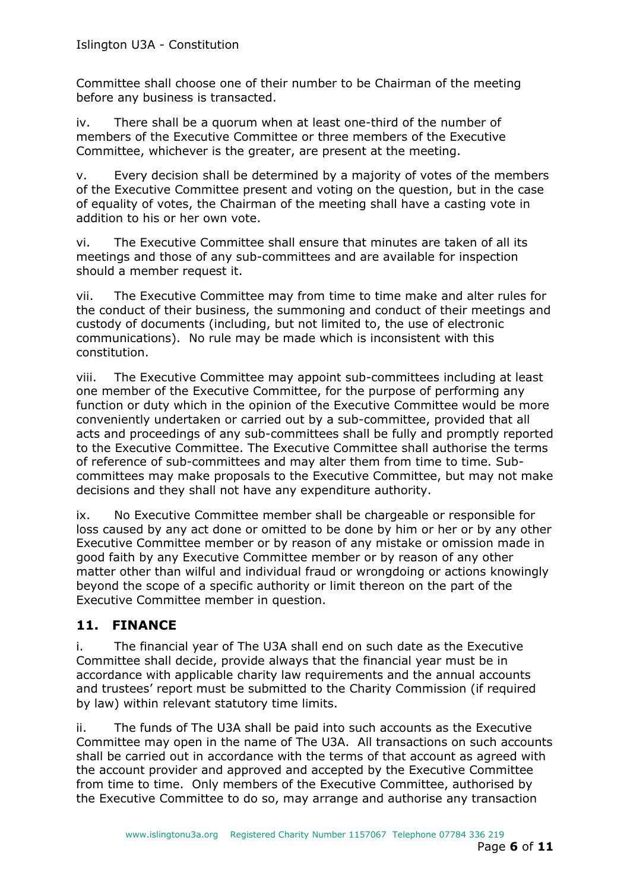Committee shall choose one of their number to be Chairman of the meeting before any business is transacted.

iv. There shall be a quorum when at least one-third of the number of members of the Executive Committee or three members of the Executive Committee, whichever is the greater, are present at the meeting.

v. Every decision shall be determined by a majority of votes of the members of the Executive Committee present and voting on the question, but in the case of equality of votes, the Chairman of the meeting shall have a casting vote in addition to his or her own vote.

vi. The Executive Committee shall ensure that minutes are taken of all its meetings and those of any sub-committees and are available for inspection should a member request it.

vii. The Executive Committee may from time to time make and alter rules for the conduct of their business, the summoning and conduct of their meetings and custody of documents (including, but not limited to, the use of electronic communications). No rule may be made which is inconsistent with this constitution.

viii. The Executive Committee may appoint sub-committees including at least one member of the Executive Committee, for the purpose of performing any function or duty which in the opinion of the Executive Committee would be more conveniently undertaken or carried out by a sub-committee, provided that all acts and proceedings of any sub-committees shall be fully and promptly reported to the Executive Committee. The Executive Committee shall authorise the terms of reference of sub-committees and may alter them from time to time. Subcommittees may make proposals to the Executive Committee, but may not make decisions and they shall not have any expenditure authority.

ix. No Executive Committee member shall be chargeable or responsible for loss caused by any act done or omitted to be done by him or her or by any other Executive Committee member or by reason of any mistake or omission made in good faith by any Executive Committee member or by reason of any other matter other than wilful and individual fraud or wrongdoing or actions knowingly beyond the scope of a specific authority or limit thereon on the part of the Executive Committee member in question.

## **11. FINANCE**

i. The financial year of The U3A shall end on such date as the Executive Committee shall decide, provide always that the financial year must be in accordance with applicable charity law requirements and the annual accounts and trustees' report must be submitted to the Charity Commission (if required by law) within relevant statutory time limits.

ii. The funds of The U3A shall be paid into such accounts as the Executive Committee may open in the name of The U3A. All transactions on such accounts shall be carried out in accordance with the terms of that account as agreed with the account provider and approved and accepted by the Executive Committee from time to time. Only members of the Executive Committee, authorised by the Executive Committee to do so, may arrange and authorise any transaction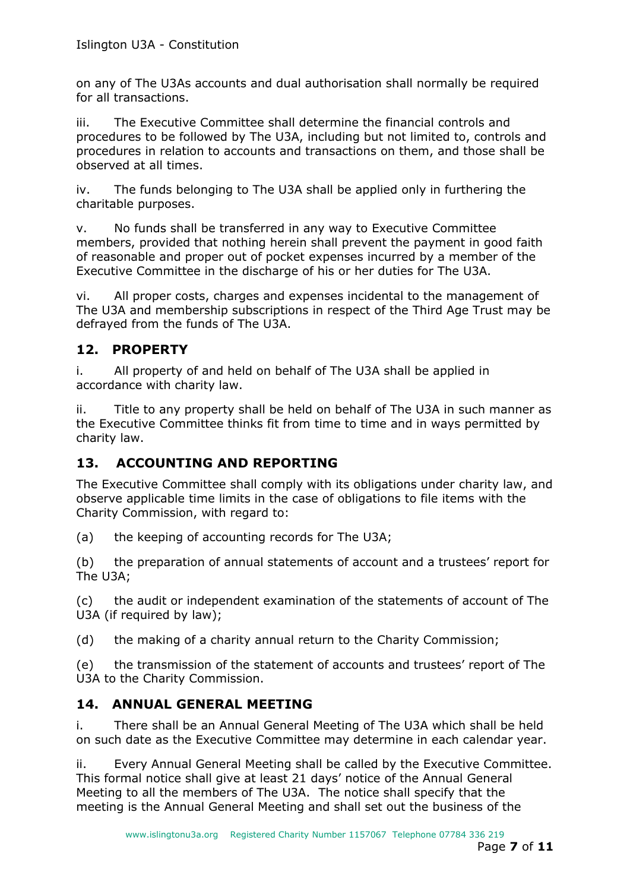on any of The U3As accounts and dual authorisation shall normally be required for all transactions.

iii. The Executive Committee shall determine the financial controls and procedures to be followed by The U3A, including but not limited to, controls and procedures in relation to accounts and transactions on them, and those shall be observed at all times.

iv. The funds belonging to The U3A shall be applied only in furthering the charitable purposes.

v. No funds shall be transferred in any way to Executive Committee members, provided that nothing herein shall prevent the payment in good faith of reasonable and proper out of pocket expenses incurred by a member of the Executive Committee in the discharge of his or her duties for The U3A.

vi. All proper costs, charges and expenses incidental to the management of The U3A and membership subscriptions in respect of the Third Age Trust may be defrayed from the funds of The U3A.

#### **12. PROPERTY**

i. All property of and held on behalf of The U3A shall be applied in accordance with charity law.

ii. Title to any property shall be held on behalf of The U3A in such manner as the Executive Committee thinks fit from time to time and in ways permitted by charity law.

## **13. ACCOUNTING AND REPORTING**

The Executive Committee shall comply with its obligations under charity law, and observe applicable time limits in the case of obligations to file items with the Charity Commission, with regard to:

(a) the keeping of accounting records for The U3A;

(b) the preparation of annual statements of account and a trustees' report for The U3A;

(c) the audit or independent examination of the statements of account of The U3A (if required by law);

(d) the making of a charity annual return to the Charity Commission;

(e) the transmission of the statement of accounts and trustees' report of The U3A to the Charity Commission.

## **14. ANNUAL GENERAL MEETING**

i. There shall be an Annual General Meeting of The U3A which shall be held on such date as the Executive Committee may determine in each calendar year.

ii. Every Annual General Meeting shall be called by the Executive Committee. This formal notice shall give at least 21 days' notice of the Annual General Meeting to all the members of The U3A. The notice shall specify that the meeting is the Annual General Meeting and shall set out the business of the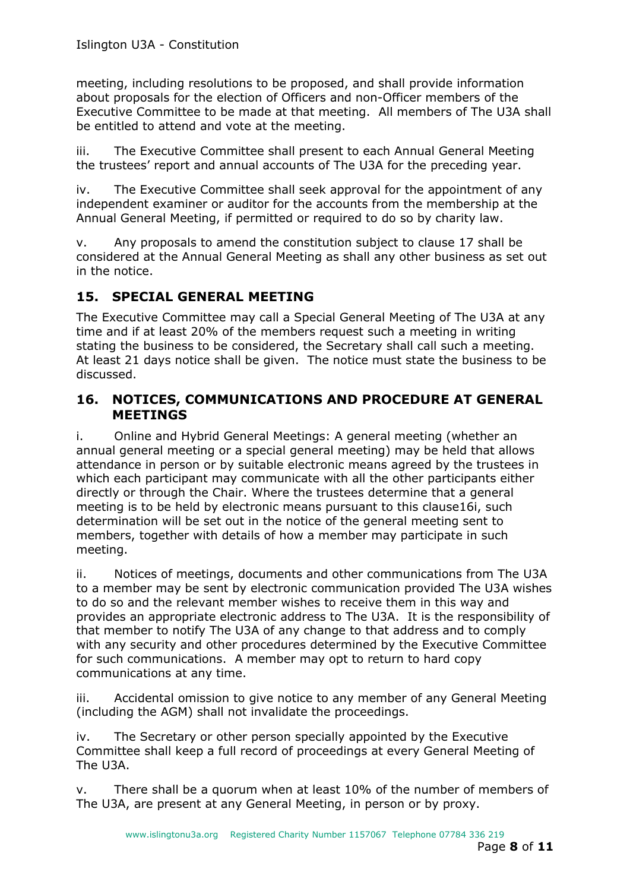meeting, including resolutions to be proposed, and shall provide information about proposals for the election of Officers and non-Officer members of the Executive Committee to be made at that meeting. All members of The U3A shall be entitled to attend and vote at the meeting.

iii. The Executive Committee shall present to each Annual General Meeting the trustees' report and annual accounts of The U3A for the preceding year.

iv. The Executive Committee shall seek approval for the appointment of any independent examiner or auditor for the accounts from the membership at the Annual General Meeting, if permitted or required to do so by charity law.

v. Any proposals to amend the constitution subject to clause 17 shall be considered at the Annual General Meeting as shall any other business as set out in the notice.

## **15. SPECIAL GENERAL MEETING**

The Executive Committee may call a Special General Meeting of The U3A at any time and if at least 20% of the members request such a meeting in writing stating the business to be considered, the Secretary shall call such a meeting. At least 21 days notice shall be given. The notice must state the business to be discussed.

#### **16. NOTICES, COMMUNICATIONS AND PROCEDURE AT GENERAL MEETINGS**

i. Online and Hybrid General Meetings: A general meeting (whether an annual general meeting or a special general meeting) may be held that allows attendance in person or by suitable electronic means agreed by the trustees in which each participant may communicate with all the other participants either directly or through the Chair. Where the trustees determine that a general meeting is to be held by electronic means pursuant to this clause16i, such determination will be set out in the notice of the general meeting sent to members, together with details of how a member may participate in such meeting.

ii. Notices of meetings, documents and other communications from The U3A to a member may be sent by electronic communication provided The U3A wishes to do so and the relevant member wishes to receive them in this way and provides an appropriate electronic address to The U3A. It is the responsibility of that member to notify The U3A of any change to that address and to comply with any security and other procedures determined by the Executive Committee for such communications. A member may opt to return to hard copy communications at any time.

iii. Accidental omission to give notice to any member of any General Meeting (including the AGM) shall not invalidate the proceedings.

iv. The Secretary or other person specially appointed by the Executive Committee shall keep a full record of proceedings at every General Meeting of The U3A.

v. There shall be a quorum when at least 10% of the number of members of The U3A, are present at any General Meeting, in person or by proxy.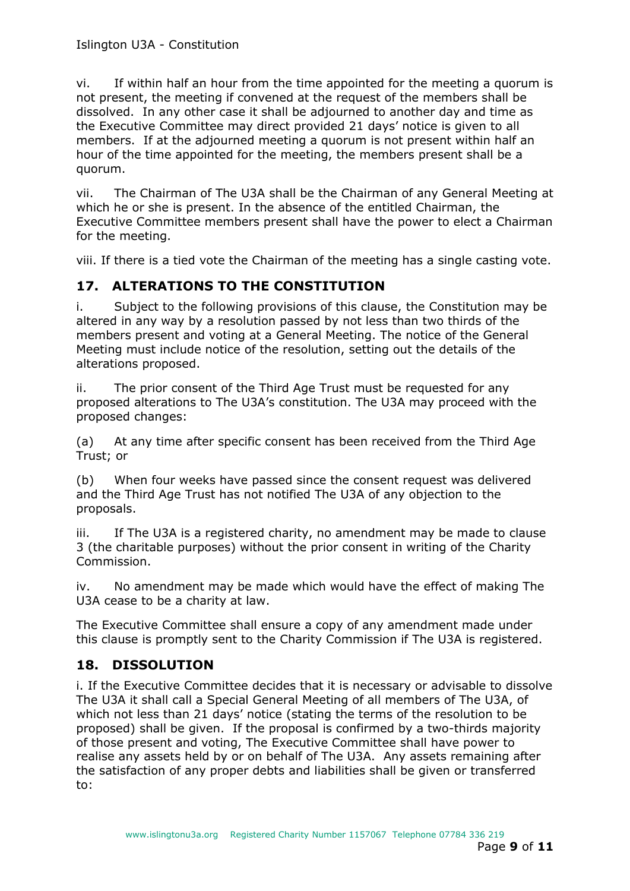vi. If within half an hour from the time appointed for the meeting a quorum is not present, the meeting if convened at the request of the members shall be dissolved. In any other case it shall be adjourned to another day and time as the Executive Committee may direct provided 21 days' notice is given to all members. If at the adjourned meeting a quorum is not present within half an hour of the time appointed for the meeting, the members present shall be a quorum.

vii. The Chairman of The U3A shall be the Chairman of any General Meeting at which he or she is present. In the absence of the entitled Chairman, the Executive Committee members present shall have the power to elect a Chairman for the meeting.

viii. If there is a tied vote the Chairman of the meeting has a single casting vote.

#### **17. ALTERATIONS TO THE CONSTITUTION**

i. Subject to the following provisions of this clause, the Constitution may be altered in any way by a resolution passed by not less than two thirds of the members present and voting at a General Meeting. The notice of the General Meeting must include notice of the resolution, setting out the details of the alterations proposed.

ii. The prior consent of the Third Age Trust must be requested for any proposed alterations to The U3A's constitution. The U3A may proceed with the proposed changes:

(a) At any time after specific consent has been received from the Third Age Trust; or

(b) When four weeks have passed since the consent request was delivered and the Third Age Trust has not notified The U3A of any objection to the proposals.

iii. If The U3A is a registered charity, no amendment may be made to clause 3 (the charitable purposes) without the prior consent in writing of the Charity Commission.

iv. No amendment may be made which would have the effect of making The U3A cease to be a charity at law.

The Executive Committee shall ensure a copy of any amendment made under this clause is promptly sent to the Charity Commission if The U3A is registered.

#### **18. DISSOLUTION**

i. If the Executive Committee decides that it is necessary or advisable to dissolve The U3A it shall call a Special General Meeting of all members of The U3A, of which not less than 21 days' notice (stating the terms of the resolution to be proposed) shall be given. If the proposal is confirmed by a two-thirds majority of those present and voting, The Executive Committee shall have power to realise any assets held by or on behalf of The U3A. Any assets remaining after the satisfaction of any proper debts and liabilities shall be given or transferred to: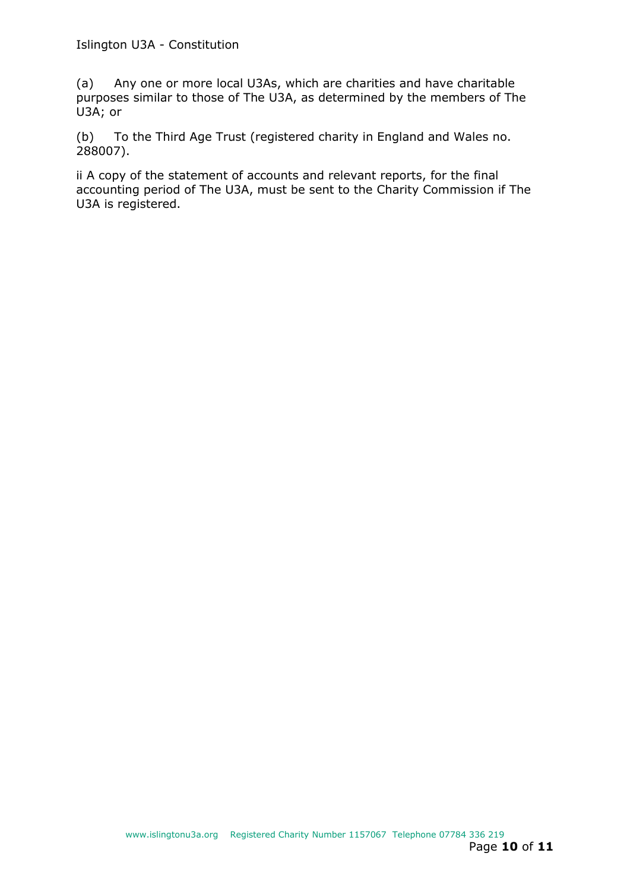(a) Any one or more local U3As, which are charities and have charitable purposes similar to those of The U3A, as determined by the members of The U3A; or

(b) To the Third Age Trust (registered charity in England and Wales no. 288007).

ii A copy of the statement of accounts and relevant reports, for the final accounting period of The U3A, must be sent to the Charity Commission if The U3A is registered.